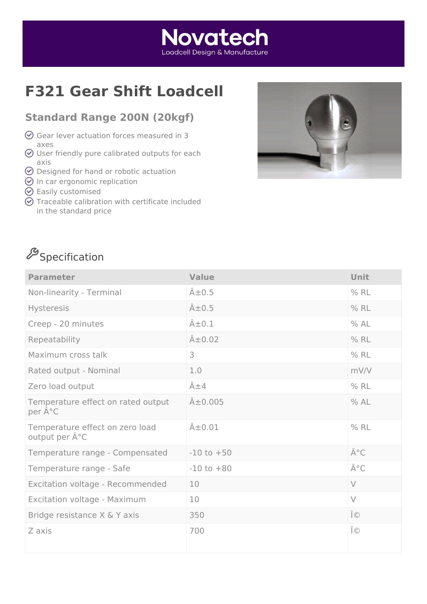#### **Novatech** Loadcell Desian & Manufacture

## **F321 Gear Shift Loadcell**

#### **Standard Range 200N (20kgf)**

- $\odot$  Gear lever actuation forces measured in 3 axes
- $\odot$  User friendly pure calibrated outputs for each axis
- $\odot$  Designed for hand or robotic actuation
- $\odot$  In car ergonomic replication
- $\odot$  Easily customised
- $\odot$  Traceable calibration with certificate included in the standard price



# $\mathscr{S}_\mathsf{Specification}$

| <b>Parameter</b>                                 | <b>Value</b>       | <b>Unit</b> |
|--------------------------------------------------|--------------------|-------------|
| Non-linearity - Terminal                         | $\hat{A} \pm 0.5$  | $%$ RL      |
| Hysteresis                                       | $\hat{A} \pm 0.5$  | $%$ RL      |
| Creep - 20 minutes                               | $\hat{A} \pm 0.1$  | % AL        |
| Repeatability                                    | $\hat{A} \pm 0.02$ | $%$ RL      |
| Maximum cross talk                               | 3                  | $%$ RL      |
| Rated output - Nominal                           | 1.0                | mV/V        |
| Zero load output                                 | $\hat{A} \pm 4$    | $%$ RL      |
| Temperature effect on rated output<br>per °C     | $A\pm0.005$        | %AL         |
| Temperature effect on zero load<br>output per °C | $\hat{A} \pm 0.01$ | $%$ RL      |
| Temperature range - Compensated                  | $-10$ to $+50$     | °C          |
| Temperature range - Safe                         | $-10$ to $+80$     | °C          |
| Excitation voltage - Recommended                 | 10                 | $\vee$      |
| Excitation voltage - Maximum                     | 10                 | $\vee$      |
| Bridge resistance X & Y axis                     | 350                | Ω           |
| Z axis                                           | 700                | Ω           |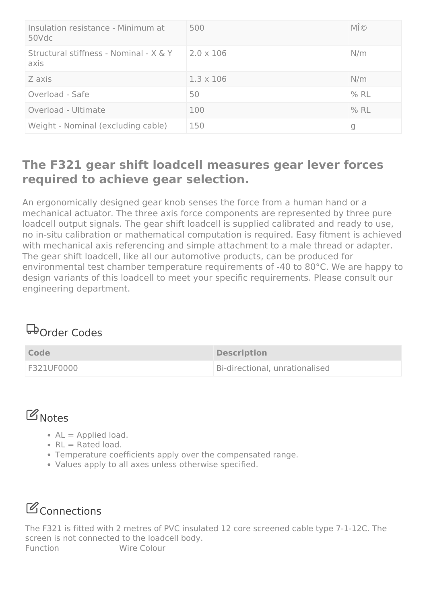| Insulation resistance - Minimum at<br>50Vdc    | 500              | MΩ     |
|------------------------------------------------|------------------|--------|
| Structural stiffness - Nominal - X & Y<br>axis | $2.0 \times 106$ | N/m    |
| Z axis                                         | $1.3 \times 106$ | N/m    |
| Overload - Safe                                | 50               | $%$ RL |
| Overload - Ultimate                            | 100              | $%$ RL |
| Weight - Nominal (excluding cable)             | 150              | g      |

#### **The F321 gear shift loadcell measures gear lever forces required to achieve gear selection.**

An ergonomically designed gear knob senses the force from a human hand or a mechanical actuator. The three axis force components are represented by three pure loadcell output signals. The gear shift loadcell is supplied calibrated and ready to use, no in-situ calibration or mathematical computation is required. Easy fitment is achieved with mechanical axis referencing and simple attachment to a male thread or adapter. The gear shift loadcell, like all our automotive products, can be produced for environmental test chamber temperature requirements of -40 to 80°C. We are happy to design variants of this loadcell to meet your specific requirements. Please consult our engineering department.

### **D**order Codes

| <b>Code</b> | <b>Description</b>             |
|-------------|--------------------------------|
| F321UF0000  | Bi-directional, unrationalised |

### **B** Notes

- $AL =$  Applied load.
- $\cdot$  RL = Rated load.
- Temperature coefficients apply over the compensated range.
- Values apply to all axes unless otherwise specified.

## **B**Connections

The F321 is fitted with 2 metres of PVC insulated 12 core screened cable type 7-1-12C. The screen is not connected to the loadcell body. Function Wire Colour